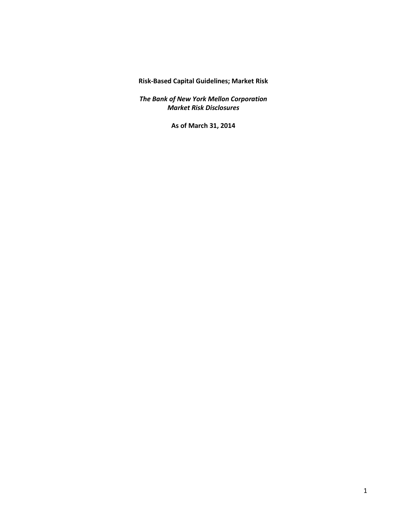**Risk-Based Capital Guidelines; Market Risk**

*The Bank of New York Mellon Corporation Market Risk Disclosures*

**As of March 31, 2014**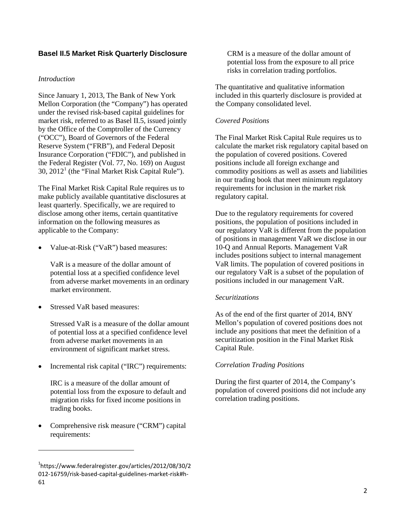# **Basel II.5 Market Risk Quarterly Disclosure**

### *Introduction*

Since January 1, 2013, The Bank of New York Mellon Corporation (the "Company") has operated under the revised risk-based capital guidelines for market risk, referred to as Basel II.5, issued jointly by the Office of the Comptroller of the Currency ("OCC"), Board of Governors of the Federal Reserve System ("FRB"), and Federal Deposit Insurance Corporation ("FDIC"), and published in the Federal Register (Vol. 77, No. 169) on August 30,  $2012<sup>1</sup>$  $2012<sup>1</sup>$  $2012<sup>1</sup>$  (the "Final Market Risk Capital Rule").

The Final Market Risk Capital Rule requires us to make publicly available quantitative disclosures at least quarterly. Specifically, we are required to disclose among other items, certain quantitative information on the following measures as applicable to the Company:

• Value-at-Risk ("VaR") based measures:

VaR is a measure of the dollar amount of potential loss at a specified confidence level from adverse market movements in an ordinary market environment.

Stressed VaR based measures:

Stressed VaR is a measure of the dollar amount of potential loss at a specified confidence level from adverse market movements in an environment of significant market stress.

Incremental risk capital ("IRC") requirements:

IRC is a measure of the dollar amount of potential loss from the exposure to default and migration risks for fixed income positions in trading books.

• Comprehensive risk measure ("CRM") capital requirements:

 $\overline{a}$ 

CRM is a measure of the dollar amount of potential loss from the exposure to all price risks in correlation trading portfolios.

The quantitative and qualitative information included in this quarterly disclosure is provided at the Company consolidated level.

## *Covered Positions*

The Final Market Risk Capital Rule requires us to calculate the market risk regulatory capital based on the population of covered positions. Covered positions include all foreign exchange and commodity positions as well as assets and liabilities in our trading book that meet minimum regulatory requirements for inclusion in the market risk regulatory capital.

Due to the regulatory requirements for covered positions, the population of positions included in our regulatory VaR is different from the population of positions in management VaR we disclose in our 10-Q and Annual Reports. Management VaR includes positions subject to internal management VaR limits. The population of covered positions in our regulatory VaR is a subset of the population of positions included in our management VaR.

### *Securitizations*

As of the end of the first quarter of 2014, BNY Mellon's population of covered positions does not include any positions that meet the definition of a securitization position in the Final Market Risk Capital Rule.

### *Correlation Trading Positions*

During the first quarter of 2014, the Company's population of covered positions did not include any correlation trading positions.

<span id="page-1-0"></span><sup>1</sup> https://www.federalregister.gov/articles/2012/08/30/2 012-16759/risk-based-capital-guidelines-market-risk#h-61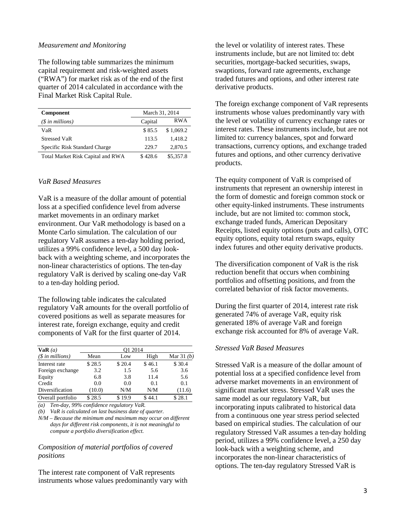#### *Measurement and Monitoring*

The following table summarizes the minimum capital requirement and risk-weighted assets ("RWA") for market risk as of the end of the first quarter of 2014 calculated in accordance with the Final Market Risk Capital Rule.

| <b>Component</b>                  | March 31, 2014 |            |
|-----------------------------------|----------------|------------|
| $(S \in \mathbb{N})$ in millions) | Capital        | <b>RWA</b> |
| VaR                               | \$85.5         | \$1,069.2  |
| <b>Stressed VaR</b>               | 113.5          | 1.418.2    |
| Specific Risk Standard Charge     | 229.7          | 2,870.5    |
| Total Market Risk Capital and RWA | \$428.6        | \$5,357.8  |

#### *VaR Based Measures*

VaR is a measure of the dollar amount of potential loss at a specified confidence level from adverse market movements in an ordinary market environment. Our VaR methodology is based on a Monte Carlo simulation. The calculation of our regulatory VaR assumes a ten-day holding period, utilizes a 99% confidence level, a 500 day lookback with a weighting scheme, and incorporates the non-linear characteristics of options. The ten-day regulatory VaR is derived by scaling one-day VaR to a ten-day holding period.

The following table indicates the calculated regulatory VaR amounts for the overall portfolio of covered positions as well as separate measures for interest rate, foreign exchange, equity and credit components of VaR for the first quarter of 2014.

| VaR(a)<br>$(S \in millions)$ | O1 2014 |        |        |              |
|------------------------------|---------|--------|--------|--------------|
|                              | Mean    | Low    | High   | Mar 31 $(b)$ |
| Interest rate                | \$28.5  | \$20.4 | \$46.1 | \$30.4       |
| Foreign exchange             | 3.2     | 1.5    | 5.6    | 3.6          |
| Equity                       | 6.8     | 3.8    | 11.4   | 5.6          |
| Credit                       | 0.0     | 0.0    | 0.1    | 0.1          |
| Diversification              | (10.0)  | N/M    | N/M    | (11.6)       |
| Overall portfolio            | \$28.5  | \$19.9 | \$44.1 | \$28.1       |

*(a) Ten-day, 99% confidence regulatory VaR.*

*(b) VaR is calculated on last business date of quarter.*

*N/M* – *Because the minimum and maximum may occur on different days for different risk components, it is not meaningful to compute a portfolio diversification effect.*

#### *Composition of material portfolios of covered positions*

The interest rate component of VaR represents instruments whose values predominantly vary with

the level or volatility of interest rates. These instruments include, but are not limited to: debt securities, mortgage-backed securities, swaps, swaptions, forward rate agreements, exchange traded futures and options, and other interest rate derivative products.

The foreign exchange component of VaR represents instruments whose values predominantly vary with the level or volatility of currency exchange rates or interest rates. These instruments include, but are not limited to: currency balances, spot and forward transactions, currency options, and exchange traded futures and options, and other currency derivative products.

The equity component of VaR is comprised of instruments that represent an ownership interest in the form of domestic and foreign common stock or other equity-linked instruments. These instruments include, but are not limited to: common stock, exchange traded funds, American Depositary Receipts, listed equity options (puts and calls), OTC equity options, equity total return swaps, equity index futures and other equity derivative products.

The diversification component of VaR is the risk reduction benefit that occurs when combining portfolios and offsetting positions, and from the correlated behavior of risk factor movements.

During the first quarter of 2014, interest rate risk generated 74% of average VaR, equity risk generated 18% of average VaR and foreign exchange risk accounted for 8% of average VaR.

#### *Stressed VaR Based Measures*

Stressed VaR is a measure of the dollar amount of potential loss at a specified confidence level from adverse market movements in an environment of significant market stress. Stressed VaR uses the same model as our regulatory VaR, but incorporating inputs calibrated to historical data from a continuous one year stress period selected based on empirical studies. The calculation of our regulatory Stressed VaR assumes a ten-day holding period, utilizes a 99% confidence level, a 250 day look-back with a weighting scheme, and incorporates the non-linear characteristics of options. The ten-day regulatory Stressed VaR is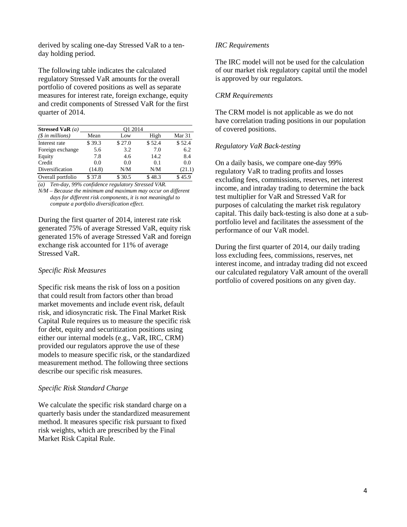derived by scaling one-day Stressed VaR to a tenday holding period.

The following table indicates the calculated regulatory Stressed VaR amounts for the overall portfolio of covered positions as well as separate measures for interest rate, foreign exchange, equity and credit components of Stressed VaR for the first quarter of 2014.

| Stressed VaR $(a)$ | O1 2014 |        |        |        |
|--------------------|---------|--------|--------|--------|
| $($in\, millions)$ | Mean    | Low    | High   | Mar 31 |
| Interest rate      | \$39.3  | \$27.0 | \$52.4 | \$52.4 |
| Foreign exchange   | 5.6     | 3.2    | 7.0    | 6.2    |
| Equity             | 7.8     | 4.6    | 14.2   | 8.4    |
| Credit             | 0.0     | 0.0    | 0.1    | 0.0    |
| Diversification    | (14.8)  | N/M    | N/M    | (21.1) |
| Overall portfolio  | \$37.8  | \$30.5 | \$48.3 | \$45.9 |

*(a) Ten-day, 99% confidence regulatory Stressed VAR.*

*N/M* – *Because the minimum and maximum may occur on different days for different risk components, it is not meaningful to compute a portfolio diversification effect.*

During the first quarter of 2014, interest rate risk generated 75% of average Stressed VaR, equity risk generated 15% of average Stressed VaR and foreign exchange risk accounted for 11% of average Stressed VaR.

#### *Specific Risk Measures*

Specific risk means the risk of loss on a position that could result from factors other than broad market movements and include event risk, default risk, and idiosyncratic risk. The Final Market Risk Capital Rule requires us to measure the specific risk for debt, equity and securitization positions using either our internal models (e.g., VaR, IRC, CRM) provided our regulators approve the use of these models to measure specific risk, or the standardized measurement method. The following three sections describe our specific risk measures.

### *Specific Risk Standard Charge*

We calculate the specific risk standard charge on a quarterly basis under the standardized measurement method. It measures specific risk pursuant to fixed risk weights, which are prescribed by the Final Market Risk Capital Rule.

#### *IRC Requirements*

The IRC model will not be used for the calculation of our market risk regulatory capital until the model is approved by our regulators.

### *CRM Requirements*

The CRM model is not applicable as we do not have correlation trading positions in our population of covered positions.

### *Regulatory VaR Back-testing*

On a daily basis, we compare one-day 99% regulatory VaR to trading profits and losses excluding fees, commissions, reserves, net interest income, and intraday trading to determine the back test multiplier for VaR and Stressed VaR for purposes of calculating the market risk regulatory capital. This daily back-testing is also done at a subportfolio level and facilitates the assessment of the performance of our VaR model.

During the first quarter of 2014, our daily trading loss excluding fees, commissions, reserves, net interest income, and intraday trading did not exceed our calculated regulatory VaR amount of the overall portfolio of covered positions on any given day.